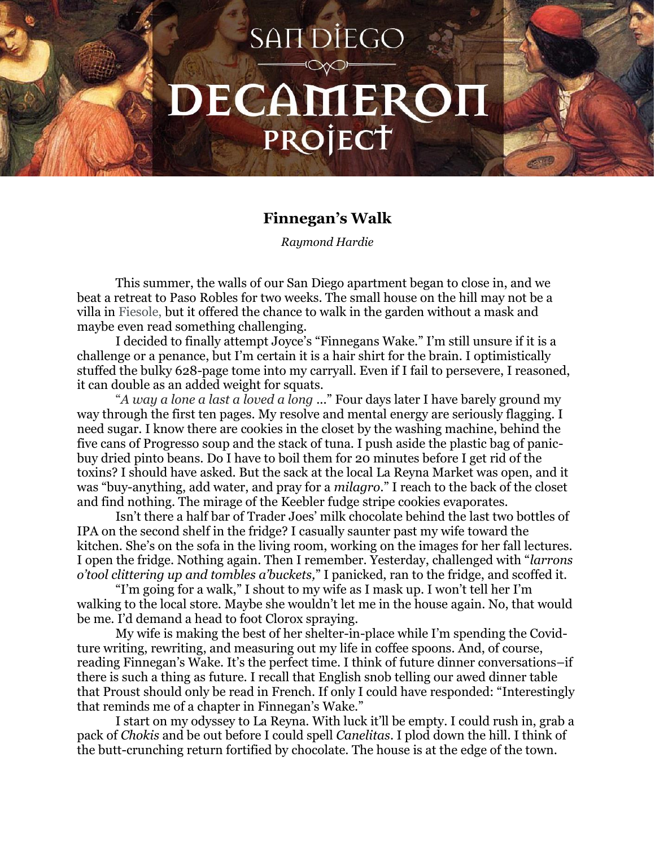## **SANDIEGO** DECAMEROI PROJECT

## **Finnegan's Walk**

*Raymond Hardie*

This summer, the walls of our San Diego apartment began to close in, and we beat a retreat to Paso Robles for two weeks. The small house on the hill may not be a villa in Fiesole, but it offered the chance to walk in the garden without a mask and maybe even read something challenging.

I decided to finally attempt Joyce's "Finnegans Wake." I'm still unsure if it is a challenge or a penance, but I'm certain it is a hair shirt for the brain. I optimistically stuffed the bulky 628-page tome into my carryall. Even if I fail to persevere, I reasoned, it can double as an added weight for squats.

"*A way a lone a last a loved a long* ..." Four days later I have barely ground my way through the first ten pages. My resolve and mental energy are seriously flagging. I need sugar. I know there are cookies in the closet by the washing machine, behind the five cans of Progresso soup and the stack of tuna. I push aside the plastic bag of panicbuy dried pinto beans. Do I have to boil them for 20 minutes before I get rid of the toxins? I should have asked. But the sack at the local La Reyna Market was open, and it was "buy-anything, add water, and pray for a *milagro.*" I reach to the back of the closet and find nothing. The mirage of the Keebler fudge stripe cookies evaporates.

Isn't there a half bar of Trader Joes' milk chocolate behind the last two bottles of IPA on the second shelf in the fridge? I casually saunter past my wife toward the kitchen. She's on the sofa in the living room, working on the images for her fall lectures. I open the fridge. Nothing again. Then I remember. Yesterday, challenged with "*larrons o'tool clittering up and tombles a'buckets,*" I panicked, ran to the fridge, and scoffed it.

"I'm going for a walk," I shout to my wife as I mask up. I won't tell her I'm walking to the local store. Maybe she wouldn't let me in the house again. No, that would be me. I'd demand a head to foot Clorox spraying.

My wife is making the best of her shelter-in-place while I'm spending the Covidture writing, rewriting, and measuring out my life in coffee spoons. And, of course, reading Finnegan's Wake. It's the perfect time. I think of future dinner conversations–if there is such a thing as future. I recall that English snob telling our awed dinner table that Proust should only be read in French. If only I could have responded: "Interestingly that reminds me of a chapter in Finnegan's Wake."

I start on my odyssey to La Reyna. With luck it'll be empty. I could rush in, grab a pack of *Chokis* and be out before I could spell *Canelitas*. I plod down the hill. I think of the butt-crunching return fortified by chocolate. The house is at the edge of the town.